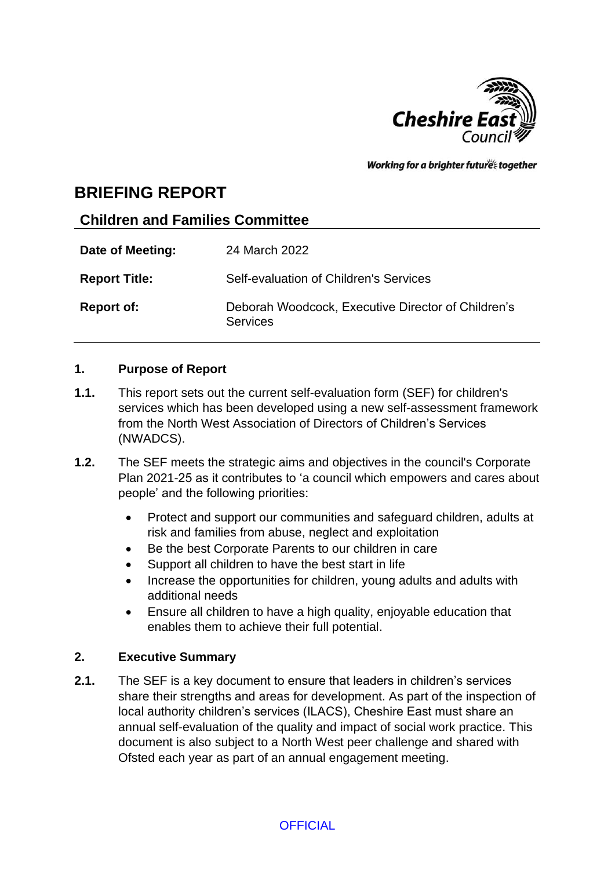

Working for a brighter futures together

# **BRIEFING REPORT**

# **Children and Families Committee**

| Date of Meeting:     | 24 March 2022                                                         |
|----------------------|-----------------------------------------------------------------------|
| <b>Report Title:</b> | Self-evaluation of Children's Services                                |
| <b>Report of:</b>    | Deborah Woodcock, Executive Director of Children's<br><b>Services</b> |

### **1. Purpose of Report**

- **1.1.** This report sets out the current self-evaluation form (SEF) for children's services which has been developed using a new self-assessment framework from the North West Association of Directors of Children's Services (NWADCS).
- **1.2.** The SEF meets the strategic aims and objectives in the council's Corporate Plan 2021-25 as it contributes to 'a council which empowers and cares about people' and the following priorities:
	- Protect and support our communities and safeguard children, adults at risk and families from abuse, neglect and exploitation
	- Be the best Corporate Parents to our children in care
	- Support all children to have the best start in life
	- Increase the opportunities for children, young adults and adults with additional needs
	- Ensure all children to have a high quality, enjoyable education that enables them to achieve their full potential.

# **2. Executive Summary**

**2.1.** The SEF is a key document to ensure that leaders in children's services share their strengths and areas for development. As part of the inspection of local authority children's services (ILACS), Cheshire East must share an annual self-evaluation of the quality and impact of social work practice. This document is also subject to a North West peer challenge and shared with Ofsted each year as part of an annual engagement meeting.

**OFFICIAL**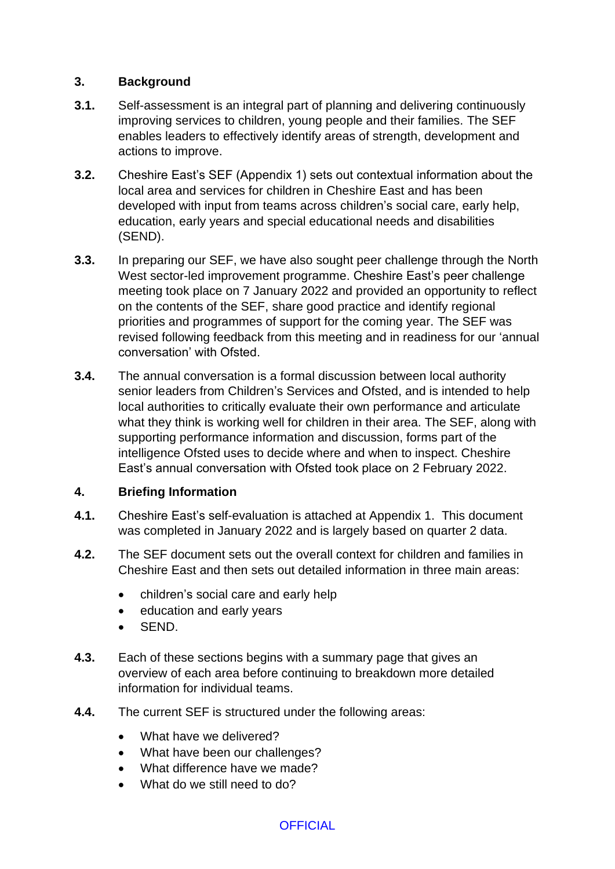### **3. Background**

- **3.1.** Self-assessment is an integral part of planning and delivering continuously improving services to children, young people and their families. The SEF enables leaders to effectively identify areas of strength, development and actions to improve.
- **3.2.** Cheshire East's SEF (Appendix 1) sets out contextual information about the local area and services for children in Cheshire East and has been developed with input from teams across children's social care, early help, education, early years and special educational needs and disabilities (SEND).
- **3.3.** In preparing our SEF, we have also sought peer challenge through the North West sector-led improvement programme. Cheshire East's peer challenge meeting took place on 7 January 2022 and provided an opportunity to reflect on the contents of the SEF, share good practice and identify regional priorities and programmes of support for the coming year. The SEF was revised following feedback from this meeting and in readiness for our 'annual conversation' with Ofsted.
- **3.4.** The annual conversation is a formal discussion between local authority senior leaders from Children's Services and Ofsted, and is intended to help local authorities to critically evaluate their own performance and articulate what they think is working well for children in their area. The SEF, along with supporting performance information and discussion, forms part of the intelligence Ofsted uses to decide where and when to inspect. Cheshire East's annual conversation with Ofsted took place on 2 February 2022.

# **4. Briefing Information**

- **4.1.** Cheshire East's self-evaluation is attached at Appendix 1. This document was completed in January 2022 and is largely based on quarter 2 data.
- **4.2.** The SEF document sets out the overall context for children and families in Cheshire East and then sets out detailed information in three main areas:
	- children's social care and early help
	- education and early years
	- SEND.
- **4.3.** Each of these sections begins with a summary page that gives an overview of each area before continuing to breakdown more detailed information for individual teams.
- **4.4.** The current SEF is structured under the following areas:
	- What have we delivered?
	- What have been our challenges?
	- What difference have we made?
	- What do we still need to do?

**OFFICIAL**